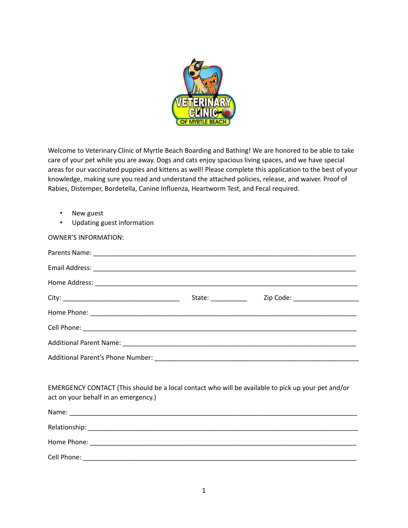

Welcome to Veterinary Clinic of Myrtle Beach Boarding and Bathing! We are honored to be able to take care of your pet while you are away. Dogs and cats enjoy spacious living spaces, and we have special areas for our vaccinated puppies and kittens as well! Please complete this application to the best of your knowledge, making sure you read and understand the attached policies, release, and waiver. Proof of Rabies, Distemper, Bordetella, Canine Influenza, Heartworm Test, and Fecal required.

- New guest
- Updating guest information

| <b>OWNER'S INFORMATION:</b>                                                                                                                |                    |                                  |  |  |
|--------------------------------------------------------------------------------------------------------------------------------------------|--------------------|----------------------------------|--|--|
|                                                                                                                                            |                    |                                  |  |  |
|                                                                                                                                            |                    |                                  |  |  |
|                                                                                                                                            |                    |                                  |  |  |
|                                                                                                                                            | State: ___________ | Zip Code: ______________________ |  |  |
|                                                                                                                                            |                    |                                  |  |  |
|                                                                                                                                            |                    |                                  |  |  |
|                                                                                                                                            |                    |                                  |  |  |
|                                                                                                                                            |                    |                                  |  |  |
|                                                                                                                                            |                    |                                  |  |  |
| EMERGENCY CONTACT (This should be a local contact who will be available to pick up your pet and/or<br>act on your behalf in an emergency.) |                    |                                  |  |  |
|                                                                                                                                            |                    |                                  |  |  |
|                                                                                                                                            |                    |                                  |  |  |
|                                                                                                                                            |                    |                                  |  |  |
|                                                                                                                                            |                    |                                  |  |  |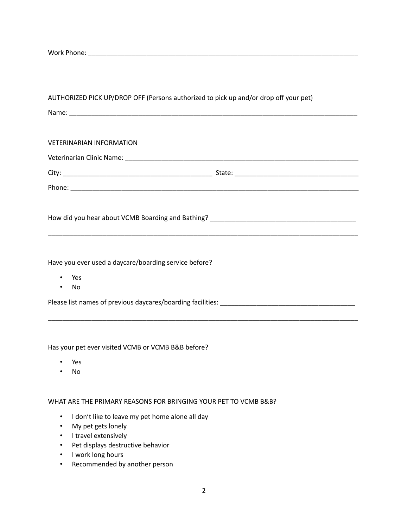Work Phone: \_\_\_\_\_\_\_\_\_\_\_\_\_\_\_\_\_\_\_\_\_\_\_\_\_\_\_\_\_\_\_\_\_\_\_\_\_\_\_\_\_\_\_\_\_\_\_\_\_\_\_\_\_\_\_\_\_\_\_\_\_\_\_\_\_\_\_\_\_\_\_\_\_\_

| AUTHORIZED PICK UP/DROP OFF (Persons authorized to pick up and/or drop off your pet) |  |
|--------------------------------------------------------------------------------------|--|
|                                                                                      |  |
|                                                                                      |  |
| <b>VETERINARIAN INFORMATION</b>                                                      |  |
|                                                                                      |  |
|                                                                                      |  |
|                                                                                      |  |
|                                                                                      |  |
|                                                                                      |  |
|                                                                                      |  |
|                                                                                      |  |
| Have you ever used a daycare/boarding service before?                                |  |
| Yes                                                                                  |  |
|                                                                                      |  |

\_\_\_\_\_\_\_\_\_\_\_\_\_\_\_\_\_\_\_\_\_\_\_\_\_\_\_\_\_\_\_\_\_\_\_\_\_\_\_\_\_\_\_\_\_\_\_\_\_\_\_\_\_\_\_\_\_\_\_\_\_\_\_\_\_\_\_\_\_\_\_\_\_\_\_\_\_\_\_\_\_\_\_\_\_

• No

Please list names of previous daycares/boarding facilities: \_\_\_\_\_\_\_\_\_\_\_\_\_\_\_\_\_\_\_\_\_\_\_\_\_\_\_\_\_\_\_\_\_\_\_\_\_

Has your pet ever visited VCMB or VCMB B&B before?

- Yes
- No

WHAT ARE THE PRIMARY REASONS FOR BRINGING YOUR PET TO VCMB B&B?

- I don't like to leave my pet home alone all day
- My pet gets lonely
- I travel extensively
- Pet displays destructive behavior
- I work long hours
- Recommended by another person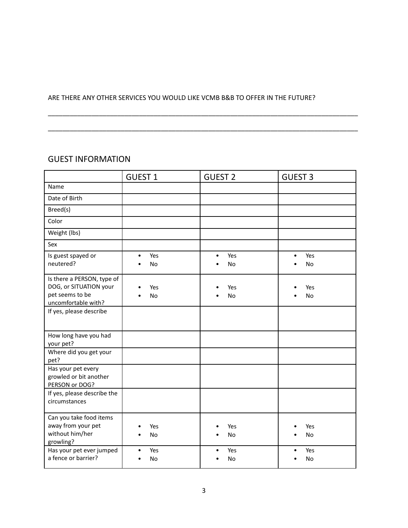#### ARE THERE ANY OTHER SERVICES YOU WOULD LIKE VCMB B&B TO OFFER IN THE FUTURE?

\_\_\_\_\_\_\_\_\_\_\_\_\_\_\_\_\_\_\_\_\_\_\_\_\_\_\_\_\_\_\_\_\_\_\_\_\_\_\_\_\_\_\_\_\_\_\_\_\_\_\_\_\_\_\_\_\_\_\_\_\_\_\_\_\_\_\_\_\_\_\_\_\_\_\_\_\_\_\_\_\_\_\_\_\_

\_\_\_\_\_\_\_\_\_\_\_\_\_\_\_\_\_\_\_\_\_\_\_\_\_\_\_\_\_\_\_\_\_\_\_\_\_\_\_\_\_\_\_\_\_\_\_\_\_\_\_\_\_\_\_\_\_\_\_\_\_\_\_\_\_\_\_\_\_\_\_\_\_\_\_\_\_\_\_\_\_\_\_\_\_

### GUEST INFORMATION

|                                                                                                | <b>GUEST 1</b>                             | <b>GUEST 2</b>         | <b>GUEST 3</b>         |
|------------------------------------------------------------------------------------------------|--------------------------------------------|------------------------|------------------------|
| Name                                                                                           |                                            |                        |                        |
| Date of Birth                                                                                  |                                            |                        |                        |
| Breed(s)                                                                                       |                                            |                        |                        |
| Color                                                                                          |                                            |                        |                        |
| Weight (lbs)                                                                                   |                                            |                        |                        |
| Sex                                                                                            |                                            |                        |                        |
| Is guest spayed or<br>neutered?                                                                | Yes<br>$\bullet$<br><b>No</b><br>$\bullet$ | Yes<br>$\bullet$<br>No | Yes<br>$\bullet$<br>No |
| Is there a PERSON, type of<br>DOG, or SITUATION your<br>pet seems to be<br>uncomfortable with? | Yes<br>$\bullet$<br>No<br>$\bullet$        | Yes<br>No              | Yes<br>No              |
| If yes, please describe                                                                        |                                            |                        |                        |
| How long have you had<br>your pet?                                                             |                                            |                        |                        |
| Where did you get your<br>pet?                                                                 |                                            |                        |                        |
| Has your pet every<br>growled or bit another<br>PERSON or DOG?                                 |                                            |                        |                        |
| If yes, please describe the<br>circumstances                                                   |                                            |                        |                        |
| Can you take food items<br>away from your pet<br>without him/her<br>growling?                  | Yes<br>$\bullet$<br>No<br>٠                | Yes<br>No              | Yes<br>No              |
| Has your pet ever jumped<br>a fence or barrier?                                                | Yes<br>$\bullet$<br>No<br>$\bullet$        | Yes<br>$\bullet$<br>No | Yes<br>No              |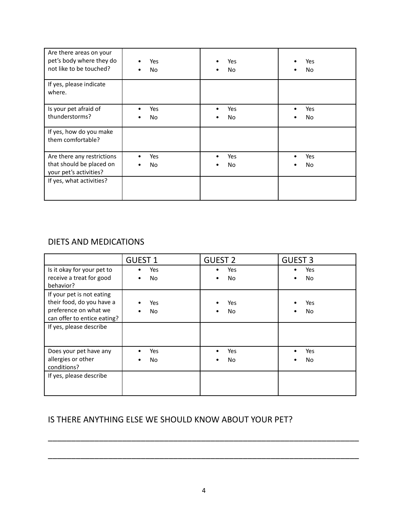| Are there areas on your<br>pet's body where they do<br>not like to be touched?   | Yes<br>No        | Yes<br>No<br>٠   | Yes<br><b>No</b> |
|----------------------------------------------------------------------------------|------------------|------------------|------------------|
| If yes, please indicate<br>where.                                                |                  |                  |                  |
| Is your pet afraid of<br>thunderstorms?                                          | Yes<br>No        | Yes<br>No        | Yes<br>No        |
| If yes, how do you make<br>them comfortable?                                     |                  |                  |                  |
| Are there any restrictions<br>that should be placed on<br>your pet's activities? | Yes<br><b>No</b> | Yes<br><b>No</b> | Yes<br>No        |
| If yes, what activities?                                                         |                  |                  |                  |

### DIETS AND MEDICATIONS

|                                                                                                                | <b>GUEST 1</b> | <b>GUEST 2</b>         | <b>GUEST 3</b> |
|----------------------------------------------------------------------------------------------------------------|----------------|------------------------|----------------|
| Is it okay for your pet to<br>receive a treat for good<br>behavior?                                            | Yes<br>No      | Yes<br>No              | Yes<br>No      |
| If your pet is not eating<br>their food, do you have a<br>preference on what we<br>can offer to entice eating? | Yes<br>No<br>٠ | Yes<br>No<br>$\bullet$ | Yes<br>No      |
| If yes, please describe                                                                                        |                |                        |                |
| Does your pet have any<br>allergies or other<br>conditions?                                                    | Yes<br>No      | Yes<br>No<br>٠         | Yes<br>No      |
| If yes, please describe                                                                                        |                |                        |                |

# IS THERE ANYTHING ELSE WE SHOULD KNOW ABOUT YOUR PET?

\_\_\_\_\_\_\_\_\_\_\_\_\_\_\_\_\_\_\_\_\_\_\_\_\_\_\_\_\_\_\_\_\_\_\_\_\_\_\_\_\_\_\_\_\_\_\_\_\_\_\_\_\_\_\_\_\_\_\_\_\_\_\_\_\_\_\_

\_\_\_\_\_\_\_\_\_\_\_\_\_\_\_\_\_\_\_\_\_\_\_\_\_\_\_\_\_\_\_\_\_\_\_\_\_\_\_\_\_\_\_\_\_\_\_\_\_\_\_\_\_\_\_\_\_\_\_\_\_\_\_\_\_\_\_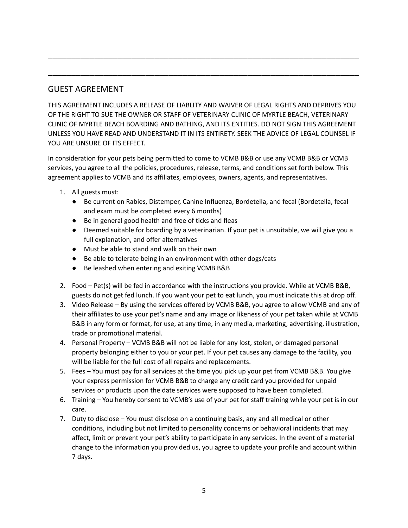# GUEST AGREEMENT

THIS AGREEMENT INCLUDES A RELEASE OF LIABLITY AND WAIVER OF LEGAL RIGHTS AND DEPRIVES YOU OF THE RIGHT TO SUE THE OWNER OR STAFF OF VETERINARY CLINIC OF MYRTLE BEACH, VETERINARY CLINIC OF MYRTLE BEACH BOARDING AND BATHING, AND ITS ENTITIES. DO NOT SIGN THIS AGREEMENT UNLESS YOU HAVE READ AND UNDERSTAND IT IN ITS ENTIRETY. SEEK THE ADVICE OF LEGAL COUNSEL IF YOU ARE UNSURE OF ITS FFFFCT.

\_\_\_\_\_\_\_\_\_\_\_\_\_\_\_\_\_\_\_\_\_\_\_\_\_\_\_\_\_\_\_\_\_\_\_\_\_\_\_\_\_\_\_\_\_\_\_\_\_\_\_\_\_\_\_\_\_\_\_\_\_\_\_\_\_\_\_

\_\_\_\_\_\_\_\_\_\_\_\_\_\_\_\_\_\_\_\_\_\_\_\_\_\_\_\_\_\_\_\_\_\_\_\_\_\_\_\_\_\_\_\_\_\_\_\_\_\_\_\_\_\_\_\_\_\_\_\_\_\_\_\_\_\_\_

In consideration for your pets being permitted to come to VCMB B&B or use any VCMB B&B or VCMB services, you agree to all the policies, procedures, release, terms, and conditions set forth below. This agreement applies to VCMB and its affiliates, employees, owners, agents, and representatives.

- 1. All guests must:
	- Be current on Rabies, Distemper, Canine Influenza, Bordetella, and fecal (Bordetella, fecal and exam must be completed every 6 months)
	- Be in general good health and free of ticks and fleas
	- Deemed suitable for boarding by a veterinarian. If your pet is unsuitable, we will give you a full explanation, and offer alternatives
	- Must be able to stand and walk on their own
	- Be able to tolerate being in an environment with other dogs/cats
	- Be leashed when entering and exiting VCMB B&B
- 2. Food Pet(s) will be fed in accordance with the instructions you provide. While at VCMB B&B, guests do not get fed lunch. If you want your pet to eat lunch, you must indicate this at drop off.
- 3. Video Release By using the services offered by VCMB B&B, you agree to allow VCMB and any of their affiliates to use your pet's name and any image or likeness of your pet taken while at VCMB B&B in any form or format, for use, at any time, in any media, marketing, advertising, illustration, trade or promotional material.
- 4. Personal Property VCMB B&B will not be liable for any lost, stolen, or damaged personal property belonging either to you or your pet. If your pet causes any damage to the facility, you will be liable for the full cost of all repairs and replacements.
- 5. Fees You must pay for all services at the time you pick up your pet from VCMB B&B. You give your express permission for VCMB B&B to charge any credit card you provided for unpaid services or products upon the date services were supposed to have been completed.
- 6. Training You hereby consent to VCMB's use of your pet for staff training while your pet is in our care.
- 7. Duty to disclose You must disclose on a continuing basis, any and all medical or other conditions, including but not limited to personality concerns or behavioral incidents that may affect, limit or prevent your pet's ability to participate in any services. In the event of a material change to the information you provided us, you agree to update your profile and account within 7 days.